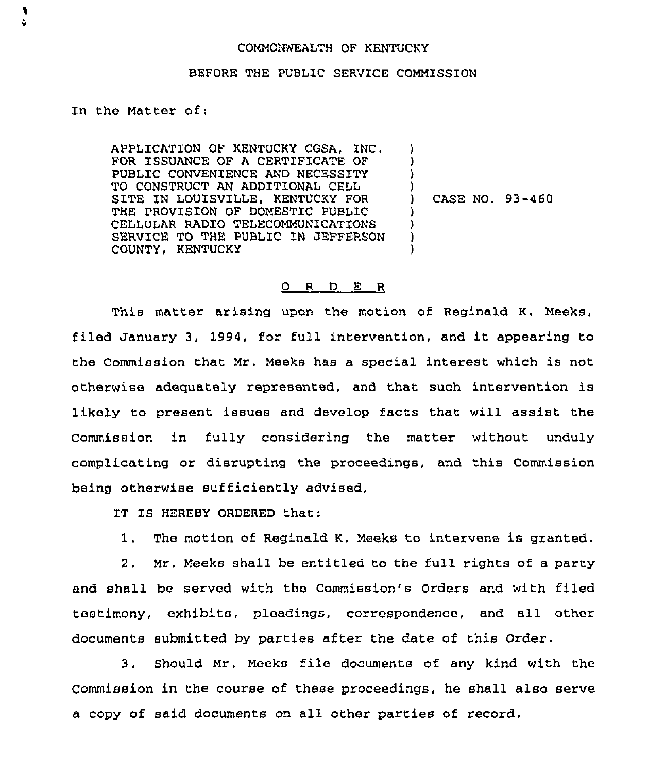## COMMONWEALTH OF KENTUCKY

## BEFORE THE PUBLIC SERVICE COMMISSION

In the Matter of:

¥

APPLICATION OF KENTUCKY COSA, INC, FOR ISSUANCE OF A CERTIFICATE OF PUBLIC CONVENIENCE AND NECESSITY TO CONSTRUCT AN ADDITIONAL CELL SITE IN LOUISVILLE, KENTUCKY FOR THE PROVISION OF DOMESTIC PUBLIC CELLULAR RADIO TELECOMMUN1CATIONS SERVICE TO THE PUBLIC IN JEFFERSON COUNTY, KENTUCKY  $\lambda$ ) ) )<br>) ) CASE NO. 93-460 ) ) )

## 0 <sup>R</sup> <sup>D</sup> E <sup>R</sup>

This matter arising upon the motion of Reginald K. Meeks, filed January 3, 1994, for full intervention, and it appearing to the Commission that Mr, Meeks has a special interest which is not otherwise adequately represented, and that such intervention is likely to present issues and develop facts that will assist the Commission in fully considering the matter without unduly complicating or disrupting the proceedings, and this Commission being otherwise sufficiently advised,

IT IS HEREBY ORDERED that:

1. The motion of Reginald K. Meeks to intervene is granted.

2. Mr. Meeks shall be entitled to the full rights of a party and shall be served with the Commission's Orders and with filed testimony, exhibits, pleadings, correspondence, and all other documents submitted by parties after the date of this Order.

3. Should Mr. Meeks file documents of any kind with the Commission in the course of these proceedings, he shall also serve a copy of said documents on all other parties of record.